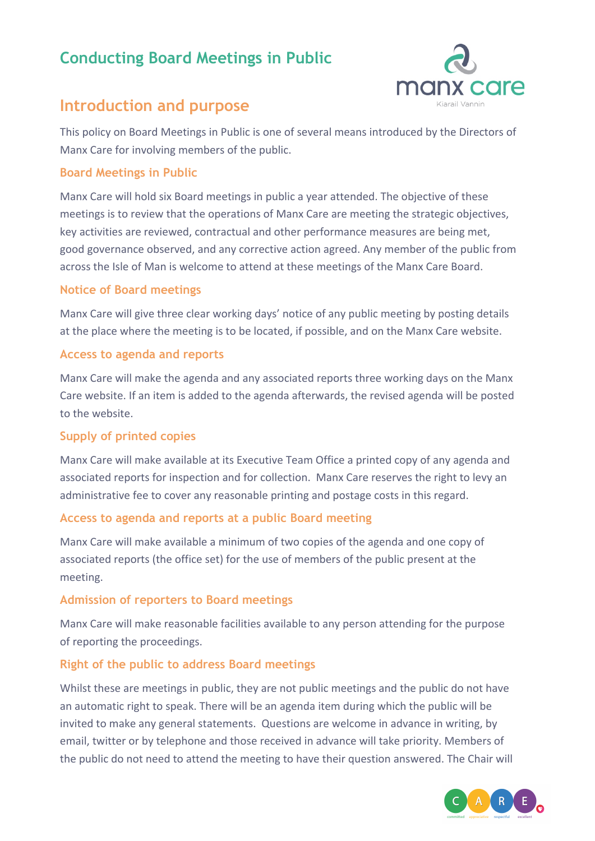# **Conducting Board Meetings in Public**



# **Introduction and purpose**

This policy on Board Meetings in Public is one of several means introduced by the Directors of Manx Care for involving members of the public.

### **Board Meetings in Public**

Manx Care will hold six Board meetings in public a year attended. The objective of these meetings is to review that the operations of Manx Care are meeting the strategic objectives, key activities are reviewed, contractual and other performance measures are being met, good governance observed, and any corrective action agreed. Any member of the public from across the Isle of Man is welcome to attend at these meetings of the Manx Care Board.

#### **Notice of Board meetings**

Manx Care will give three clear working days' notice of any public meeting by posting details at the place where the meeting is to be located, if possible, and on the Manx Care website.

#### **Access to agenda and reports**

Manx Care will make the agenda and any associated reports three working days on the Manx Care website. If an item is added to the agenda afterwards, the revised agenda will be posted to the website.

# **Supply of printed copies**

Manx Care will make available at its Executive Team Office a printed copy of any agenda and associated reports for inspection and for collection. Manx Care reserves the right to levy an administrative fee to cover any reasonable printing and postage costs in this regard.

# **Access to agenda and reports at a public Board meeting**

Manx Care will make available a minimum of two copies of the agenda and one copy of associated reports (the office set) for the use of members of the public present at the meeting.

#### **Admission of reporters to Board meetings**

Manx Care will make reasonable facilities available to any person attending for the purpose of reporting the proceedings.

# **Right of the public to address Board meetings**

Whilst these are meetings in public, they are not public meetings and the public do not have an automatic right to speak. There will be an agenda item during which the public will be invited to make any general statements. Questions are welcome in advance in writing, by email, twitter or by telephone and those received in advance will take priority. Members of the public do not need to attend the meeting to have their question answered. The Chair will